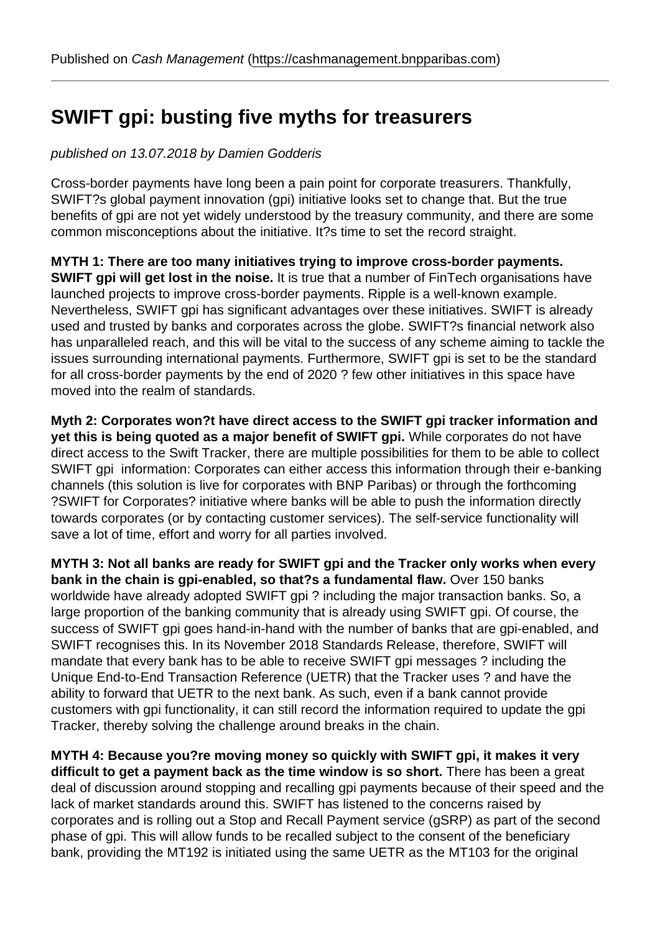### SWIFT gpi: busting fiv[e myths for treasurers](https://cashmanagement.bnpparibas.com)

#### published on 13.07.2018 by Damien Godderis

Cross-border payments have long been a pain point for corporate treasurers. Thankfully, SWIFT?s global payment innovation (gpi) initiative looks set to change that. But the true benefits of gpi are not yet widely understood by the treasury community, and there are some common misconceptions about the initiative. It?s time to set the record straight.

MYTH 1: There are too many initiatives trying to improve cross-border payments. SWIFT gpi will get lost in the noise. It is true that a number of FinTech organisations have launched projects to improve cross-border payments. Ripple is a well-known example. Nevertheless, SWIFT gpi has significant advantages over these initiatives. SWIFT is already used and trusted by banks and corporates across the globe. SWIFT?s financial network also has unparalleled reach, and this will be vital to the success of any scheme aiming to tackle the issues surrounding international payments. Furthermore, SWIFT gpi is set to be the standard for all cross-border payments by the end of 2020 ? few other initiatives in this space have moved into the realm of standards.

Myth 2: Corporates won?t have direct access to the SWIFT gpi tracker information and yet this is being quoted as a major benefit of SWIFT gpi. While corporates do not have direct access to the Swift Tracker, there are multiple possibilities for them to be able to collect SWIFT gpi information: Corporates can either access this information through their e-banking channels (this solution is live for corporates with BNP Paribas) or through the forthcoming ?SWIFT for Corporates? initiative where banks will be able to push the information directly towards corporates (or by contacting customer services). The self-service functionality will save a lot of time, effort and worry for all parties involved.

MYTH 3: Not all banks are ready for SWIFT gpi and the Tracker only works when every bank in the chain is gpi-enabled, so that?s a fundamental flaw. Over 150 banks worldwide have already adopted SWIFT gpi ? including the major transaction banks. So, a large proportion of the banking community that is already using SWIFT gpi. Of course, the success of SWIFT gpi goes hand-in-hand with the number of banks that are gpi-enabled, and SWIFT recognises this. In its November 2018 Standards Release, therefore, SWIFT will mandate that every bank has to be able to receive SWIFT gpi messages ? including the Unique End-to-End Transaction Reference (UETR) that the Tracker uses ? and have the ability to forward that UETR to the next bank. As such, even if a bank cannot provide customers with gpi functionality, it can still record the information required to update the gpi Tracker, thereby solving the challenge around breaks in the chain.

MYTH 4: Because you?re moving money so quickly with SWIFT gpi, it makes it very difficult to get a payment back as the time window is so short. There has been a great deal of discussion around stopping and recalling gpi payments because of their speed and the lack of market standards around this. SWIFT has listened to the concerns raised by corporates and is rolling out a Stop and Recall Payment service (gSRP) as part of the second phase of gpi. This will allow funds to be recalled subject to the consent of the beneficiary bank, providing the MT192 is initiated using the same UETR as the MT103 for the original